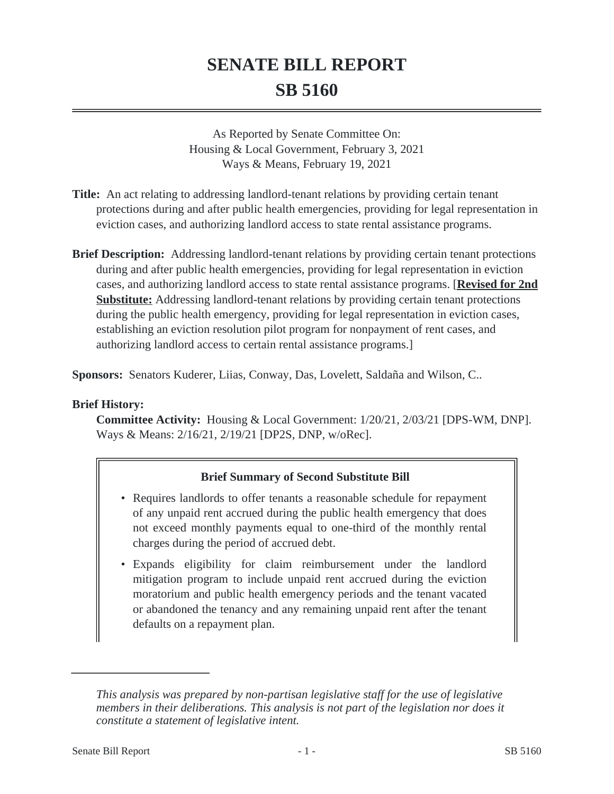# **SENATE BILL REPORT SB 5160**

As Reported by Senate Committee On: Housing & Local Government, February 3, 2021 Ways & Means, February 19, 2021

- **Title:** An act relating to addressing landlord-tenant relations by providing certain tenant protections during and after public health emergencies, providing for legal representation in eviction cases, and authorizing landlord access to state rental assistance programs.
- **Brief Description:** Addressing landlord-tenant relations by providing certain tenant protections during and after public health emergencies, providing for legal representation in eviction cases, and authorizing landlord access to state rental assistance programs. [**Revised for 2nd Substitute:** Addressing landlord-tenant relations by providing certain tenant protections during the public health emergency, providing for legal representation in eviction cases, establishing an eviction resolution pilot program for nonpayment of rent cases, and authorizing landlord access to certain rental assistance programs.]

**Sponsors:** Senators Kuderer, Liias, Conway, Das, Lovelett, Saldaña and Wilson, C..

# **Brief History:**

**Committee Activity:** Housing & Local Government: 1/20/21, 2/03/21 [DPS-WM, DNP]. Ways & Means: 2/16/21, 2/19/21 [DP2S, DNP, w/oRec].

# **Brief Summary of Second Substitute Bill**

- Requires landlords to offer tenants a reasonable schedule for repayment of any unpaid rent accrued during the public health emergency that does not exceed monthly payments equal to one-third of the monthly rental charges during the period of accrued debt.
- Expands eligibility for claim reimbursement under the landlord mitigation program to include unpaid rent accrued during the eviction moratorium and public health emergency periods and the tenant vacated or abandoned the tenancy and any remaining unpaid rent after the tenant defaults on a repayment plan.

*This analysis was prepared by non-partisan legislative staff for the use of legislative members in their deliberations. This analysis is not part of the legislation nor does it constitute a statement of legislative intent.*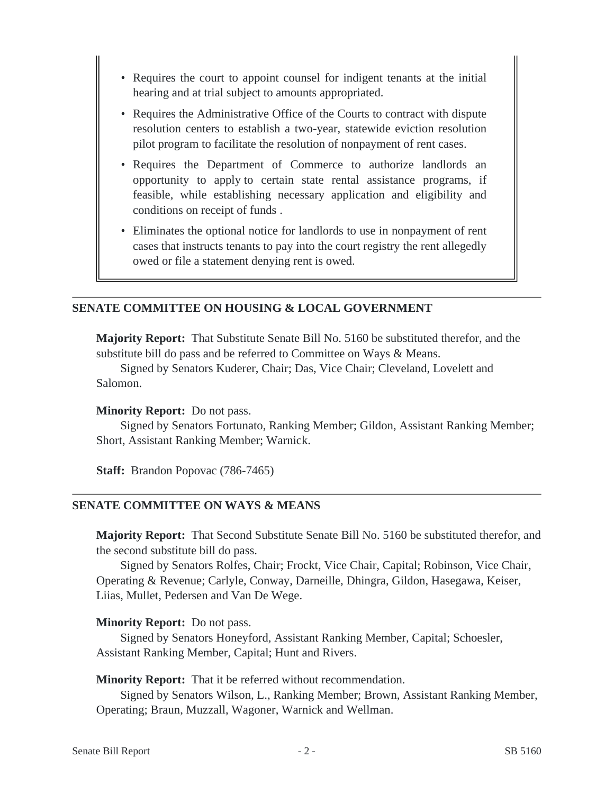- Requires the court to appoint counsel for indigent tenants at the initial hearing and at trial subject to amounts appropriated.
- Requires the Administrative Office of the Courts to contract with dispute resolution centers to establish a two-year, statewide eviction resolution pilot program to facilitate the resolution of nonpayment of rent cases.
- Requires the Department of Commerce to authorize landlords an opportunity to apply to certain state rental assistance programs, if feasible, while establishing necessary application and eligibility and conditions on receipt of funds .
- Eliminates the optional notice for landlords to use in nonpayment of rent cases that instructs tenants to pay into the court registry the rent allegedly owed or file a statement denying rent is owed.

#### **SENATE COMMITTEE ON HOUSING & LOCAL GOVERNMENT**

**Majority Report:** That Substitute Senate Bill No. 5160 be substituted therefor, and the substitute bill do pass and be referred to Committee on Ways & Means.

Signed by Senators Kuderer, Chair; Das, Vice Chair; Cleveland, Lovelett and Salomon.

#### **Minority Report:** Do not pass.

Signed by Senators Fortunato, Ranking Member; Gildon, Assistant Ranking Member; Short, Assistant Ranking Member; Warnick.

**Staff:** Brandon Popovac (786-7465)

#### **SENATE COMMITTEE ON WAYS & MEANS**

**Majority Report:** That Second Substitute Senate Bill No. 5160 be substituted therefor, and the second substitute bill do pass.

Signed by Senators Rolfes, Chair; Frockt, Vice Chair, Capital; Robinson, Vice Chair, Operating & Revenue; Carlyle, Conway, Darneille, Dhingra, Gildon, Hasegawa, Keiser, Liias, Mullet, Pedersen and Van De Wege.

#### **Minority Report:** Do not pass.

Signed by Senators Honeyford, Assistant Ranking Member, Capital; Schoesler, Assistant Ranking Member, Capital; Hunt and Rivers.

**Minority Report:** That it be referred without recommendation.

Signed by Senators Wilson, L., Ranking Member; Brown, Assistant Ranking Member, Operating; Braun, Muzzall, Wagoner, Warnick and Wellman.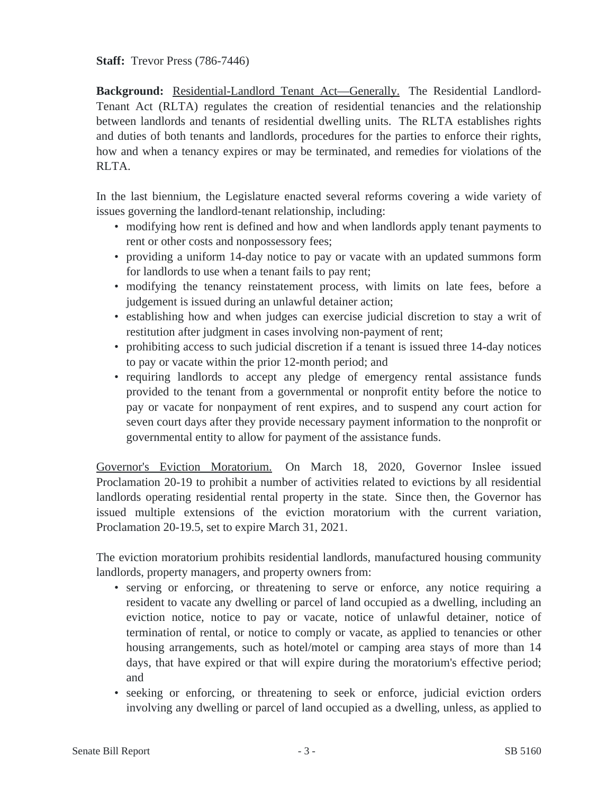**Staff:** Trevor Press (786-7446)

**Background:** Residential-Landlord Tenant Act—Generally. The Residential Landlord-Tenant Act (RLTA) regulates the creation of residential tenancies and the relationship between landlords and tenants of residential dwelling units. The RLTA establishes rights and duties of both tenants and landlords, procedures for the parties to enforce their rights, how and when a tenancy expires or may be terminated, and remedies for violations of the RLTA.

In the last biennium, the Legislature enacted several reforms covering a wide variety of issues governing the landlord-tenant relationship, including:

- modifying how rent is defined and how and when landlords apply tenant payments to rent or other costs and nonpossessory fees;
- providing a uniform 14-day notice to pay or vacate with an updated summons form for landlords to use when a tenant fails to pay rent;
- modifying the tenancy reinstatement process, with limits on late fees, before a judgement is issued during an unlawful detainer action;
- establishing how and when judges can exercise judicial discretion to stay a writ of restitution after judgment in cases involving non-payment of rent;
- prohibiting access to such judicial discretion if a tenant is issued three 14-day notices to pay or vacate within the prior 12-month period; and
- requiring landlords to accept any pledge of emergency rental assistance funds provided to the tenant from a governmental or nonprofit entity before the notice to pay or vacate for nonpayment of rent expires, and to suspend any court action for seven court days after they provide necessary payment information to the nonprofit or governmental entity to allow for payment of the assistance funds.

Governor's Eviction Moratorium. On March 18, 2020, Governor Inslee issued Proclamation 20-19 to prohibit a number of activities related to evictions by all residential landlords operating residential rental property in the state. Since then, the Governor has issued multiple extensions of the eviction moratorium with the current variation, Proclamation 20-19.5, set to expire March 31, 2021.

The eviction moratorium prohibits residential landlords, manufactured housing community landlords, property managers, and property owners from:

- serving or enforcing, or threatening to serve or enforce, any notice requiring a resident to vacate any dwelling or parcel of land occupied as a dwelling, including an eviction notice, notice to pay or vacate, notice of unlawful detainer, notice of termination of rental, or notice to comply or vacate, as applied to tenancies or other housing arrangements, such as hotel/motel or camping area stays of more than 14 days, that have expired or that will expire during the moratorium's effective period; and
- seeking or enforcing, or threatening to seek or enforce, judicial eviction orders involving any dwelling or parcel of land occupied as a dwelling, unless, as applied to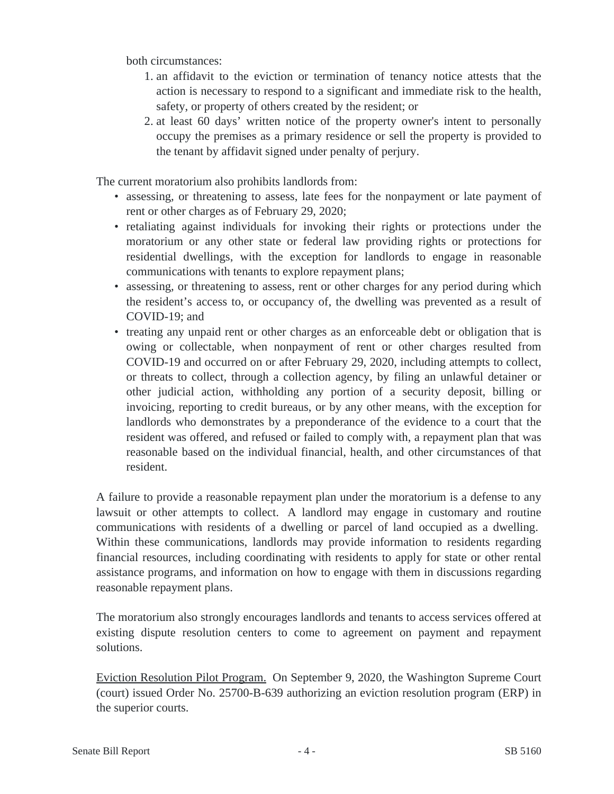both circumstances:

- 1. an affidavit to the eviction or termination of tenancy notice attests that the action is necessary to respond to a significant and immediate risk to the health, safety, or property of others created by the resident; or
- 2. at least 60 days' written notice of the property owner's intent to personally occupy the premises as a primary residence or sell the property is provided to the tenant by affidavit signed under penalty of perjury.

The current moratorium also prohibits landlords from:

- assessing, or threatening to assess, late fees for the nonpayment or late payment of rent or other charges as of February 29, 2020;
- retaliating against individuals for invoking their rights or protections under the moratorium or any other state or federal law providing rights or protections for residential dwellings, with the exception for landlords to engage in reasonable communications with tenants to explore repayment plans;
- assessing, or threatening to assess, rent or other charges for any period during which the resident's access to, or occupancy of, the dwelling was prevented as a result of COVID-19; and
- treating any unpaid rent or other charges as an enforceable debt or obligation that is owing or collectable, when nonpayment of rent or other charges resulted from COVID-19 and occurred on or after February 29, 2020, including attempts to collect, or threats to collect, through a collection agency, by filing an unlawful detainer or other judicial action, withholding any portion of a security deposit, billing or invoicing, reporting to credit bureaus, or by any other means, with the exception for landlords who demonstrates by a preponderance of the evidence to a court that the resident was offered, and refused or failed to comply with, a repayment plan that was reasonable based on the individual financial, health, and other circumstances of that resident.

A failure to provide a reasonable repayment plan under the moratorium is a defense to any lawsuit or other attempts to collect. A landlord may engage in customary and routine communications with residents of a dwelling or parcel of land occupied as a dwelling. Within these communications, landlords may provide information to residents regarding financial resources, including coordinating with residents to apply for state or other rental assistance programs, and information on how to engage with them in discussions regarding reasonable repayment plans.

The moratorium also strongly encourages landlords and tenants to access services offered at existing dispute resolution centers to come to agreement on payment and repayment solutions.

Eviction Resolution Pilot Program. On September 9, 2020, the Washington Supreme Court (court) issued Order No. 25700-B-639 authorizing an eviction resolution program (ERP) in the superior courts.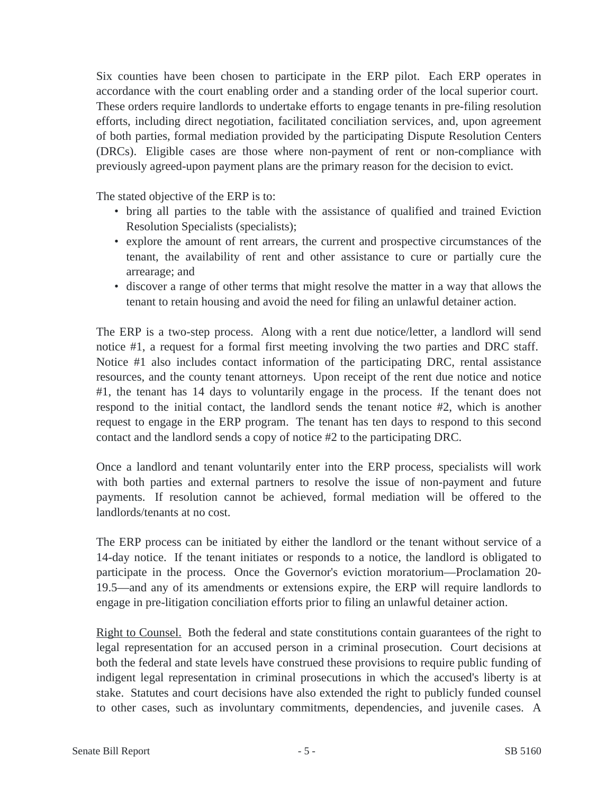Six counties have been chosen to participate in the ERP pilot. Each ERP operates in accordance with the court enabling order and a standing order of the local superior court. These orders require landlords to undertake efforts to engage tenants in pre-filing resolution efforts, including direct negotiation, facilitated conciliation services, and, upon agreement of both parties, formal mediation provided by the participating Dispute Resolution Centers (DRCs). Eligible cases are those where non-payment of rent or non-compliance with previously agreed-upon payment plans are the primary reason for the decision to evict.

The stated objective of the ERP is to:

- bring all parties to the table with the assistance of qualified and trained Eviction Resolution Specialists (specialists);
- explore the amount of rent arrears, the current and prospective circumstances of the tenant, the availability of rent and other assistance to cure or partially cure the arrearage; and
- discover a range of other terms that might resolve the matter in a way that allows the tenant to retain housing and avoid the need for filing an unlawful detainer action.

The ERP is a two-step process. Along with a rent due notice/letter, a landlord will send notice #1, a request for a formal first meeting involving the two parties and DRC staff. Notice #1 also includes contact information of the participating DRC, rental assistance resources, and the county tenant attorneys. Upon receipt of the rent due notice and notice #1, the tenant has 14 days to voluntarily engage in the process. If the tenant does not respond to the initial contact, the landlord sends the tenant notice #2, which is another request to engage in the ERP program. The tenant has ten days to respond to this second contact and the landlord sends a copy of notice #2 to the participating DRC.

Once a landlord and tenant voluntarily enter into the ERP process, specialists will work with both parties and external partners to resolve the issue of non-payment and future payments. If resolution cannot be achieved, formal mediation will be offered to the landlords/tenants at no cost.

The ERP process can be initiated by either the landlord or the tenant without service of a 14-day notice. If the tenant initiates or responds to a notice, the landlord is obligated to participate in the process. Once the Governor's eviction moratorium—Proclamation 20- 19.5—and any of its amendments or extensions expire, the ERP will require landlords to engage in pre-litigation conciliation efforts prior to filing an unlawful detainer action.

Right to Counsel. Both the federal and state constitutions contain guarantees of the right to legal representation for an accused person in a criminal prosecution. Court decisions at both the federal and state levels have construed these provisions to require public funding of indigent legal representation in criminal prosecutions in which the accused's liberty is at stake. Statutes and court decisions have also extended the right to publicly funded counsel to other cases, such as involuntary commitments, dependencies, and juvenile cases. A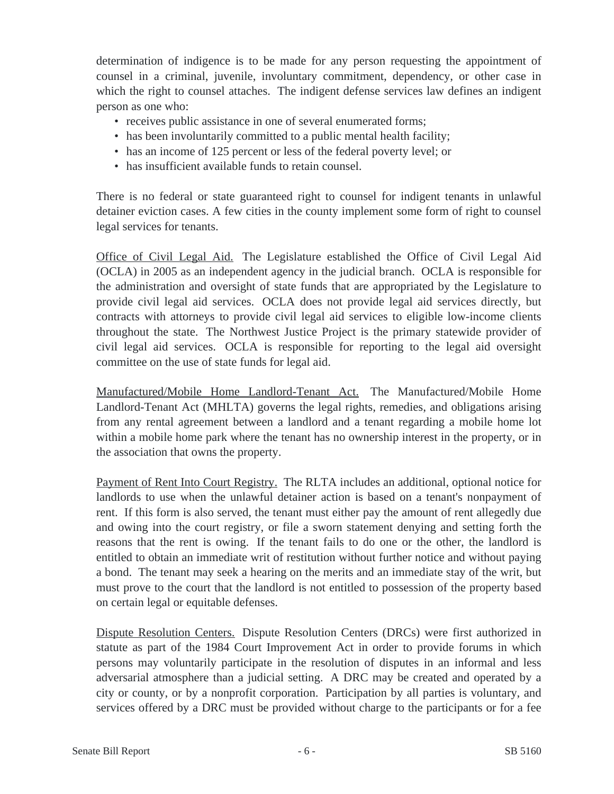determination of indigence is to be made for any person requesting the appointment of counsel in a criminal, juvenile, involuntary commitment, dependency, or other case in which the right to counsel attaches. The indigent defense services law defines an indigent person as one who:

- receives public assistance in one of several enumerated forms;
- has been involuntarily committed to a public mental health facility;
- has an income of 125 percent or less of the federal poverty level; or
- has insufficient available funds to retain counsel.

There is no federal or state guaranteed right to counsel for indigent tenants in unlawful detainer eviction cases. A few cities in the county implement some form of right to counsel legal services for tenants.

Office of Civil Legal Aid. The Legislature established the Office of Civil Legal Aid (OCLA) in 2005 as an independent agency in the judicial branch. OCLA is responsible for the administration and oversight of state funds that are appropriated by the Legislature to provide civil legal aid services. OCLA does not provide legal aid services directly, but contracts with attorneys to provide civil legal aid services to eligible low-income clients throughout the state. The Northwest Justice Project is the primary statewide provider of civil legal aid services. OCLA is responsible for reporting to the legal aid oversight committee on the use of state funds for legal aid.

Manufactured/Mobile Home Landlord-Tenant Act. The Manufactured/Mobile Home Landlord-Tenant Act (MHLTA) governs the legal rights, remedies, and obligations arising from any rental agreement between a landlord and a tenant regarding a mobile home lot within a mobile home park where the tenant has no ownership interest in the property, or in the association that owns the property.

Payment of Rent Into Court Registry. The RLTA includes an additional, optional notice for landlords to use when the unlawful detainer action is based on a tenant's nonpayment of rent. If this form is also served, the tenant must either pay the amount of rent allegedly due and owing into the court registry, or file a sworn statement denying and setting forth the reasons that the rent is owing. If the tenant fails to do one or the other, the landlord is entitled to obtain an immediate writ of restitution without further notice and without paying a bond. The tenant may seek a hearing on the merits and an immediate stay of the writ, but must prove to the court that the landlord is not entitled to possession of the property based on certain legal or equitable defenses.

Dispute Resolution Centers. Dispute Resolution Centers (DRCs) were first authorized in statute as part of the 1984 Court Improvement Act in order to provide forums in which persons may voluntarily participate in the resolution of disputes in an informal and less adversarial atmosphere than a judicial setting. A DRC may be created and operated by a city or county, or by a nonprofit corporation. Participation by all parties is voluntary, and services offered by a DRC must be provided without charge to the participants or for a fee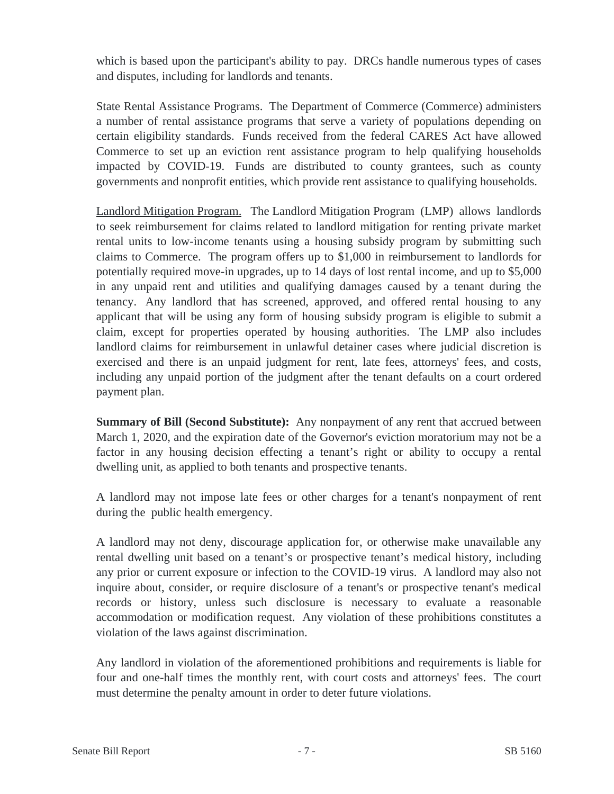which is based upon the participant's ability to pay. DRCs handle numerous types of cases and disputes, including for landlords and tenants.

State Rental Assistance Programs. The Department of Commerce (Commerce) administers a number of rental assistance programs that serve a variety of populations depending on certain eligibility standards. Funds received from the federal CARES Act have allowed Commerce to set up an eviction rent assistance program to help qualifying households impacted by COVID-19. Funds are distributed to county grantees, such as county governments and nonprofit entities, which provide rent assistance to qualifying households.

Landlord Mitigation Program. The Landlord Mitigation Program (LMP) allows landlords to seek reimbursement for claims related to landlord mitigation for renting private market rental units to low-income tenants using a housing subsidy program by submitting such claims to Commerce. The program offers up to \$1,000 in reimbursement to landlords for potentially required move-in upgrades, up to 14 days of lost rental income, and up to \$5,000 in any unpaid rent and utilities and qualifying damages caused by a tenant during the tenancy. Any landlord that has screened, approved, and offered rental housing to any applicant that will be using any form of housing subsidy program is eligible to submit a claim, except for properties operated by housing authorities. The LMP also includes landlord claims for reimbursement in unlawful detainer cases where judicial discretion is exercised and there is an unpaid judgment for rent, late fees, attorneys' fees, and costs, including any unpaid portion of the judgment after the tenant defaults on a court ordered payment plan.

**Summary of Bill (Second Substitute):** Any nonpayment of any rent that accrued between March 1, 2020, and the expiration date of the Governor's eviction moratorium may not be a factor in any housing decision effecting a tenant's right or ability to occupy a rental dwelling unit, as applied to both tenants and prospective tenants.

A landlord may not impose late fees or other charges for a tenant's nonpayment of rent during the public health emergency.

A landlord may not deny, discourage application for, or otherwise make unavailable any rental dwelling unit based on a tenant's or prospective tenant's medical history, including any prior or current exposure or infection to the COVID-19 virus. A landlord may also not inquire about, consider, or require disclosure of a tenant's or prospective tenant's medical records or history, unless such disclosure is necessary to evaluate a reasonable accommodation or modification request. Any violation of these prohibitions constitutes a violation of the laws against discrimination.

Any landlord in violation of the aforementioned prohibitions and requirements is liable for four and one-half times the monthly rent, with court costs and attorneys' fees. The court must determine the penalty amount in order to deter future violations.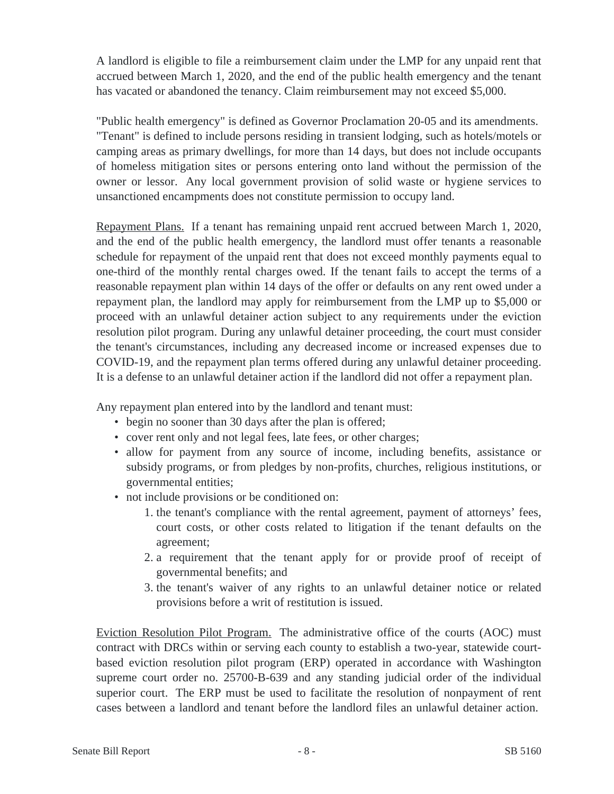A landlord is eligible to file a reimbursement claim under the LMP for any unpaid rent that accrued between March 1, 2020, and the end of the public health emergency and the tenant has vacated or abandoned the tenancy. Claim reimbursement may not exceed \$5,000.

"Public health emergency" is defined as Governor Proclamation 20-05 and its amendments. "Tenant" is defined to include persons residing in transient lodging, such as hotels/motels or camping areas as primary dwellings, for more than 14 days, but does not include occupants of homeless mitigation sites or persons entering onto land without the permission of the owner or lessor. Any local government provision of solid waste or hygiene services to unsanctioned encampments does not constitute permission to occupy land.

Repayment Plans. If a tenant has remaining unpaid rent accrued between March 1, 2020, and the end of the public health emergency, the landlord must offer tenants a reasonable schedule for repayment of the unpaid rent that does not exceed monthly payments equal to one-third of the monthly rental charges owed. If the tenant fails to accept the terms of a reasonable repayment plan within 14 days of the offer or defaults on any rent owed under a repayment plan, the landlord may apply for reimbursement from the LMP up to \$5,000 or proceed with an unlawful detainer action subject to any requirements under the eviction resolution pilot program. During any unlawful detainer proceeding, the court must consider the tenant's circumstances, including any decreased income or increased expenses due to COVID-19, and the repayment plan terms offered during any unlawful detainer proceeding. It is a defense to an unlawful detainer action if the landlord did not offer a repayment plan.

Any repayment plan entered into by the landlord and tenant must:

- begin no sooner than 30 days after the plan is offered;
- cover rent only and not legal fees, late fees, or other charges;
- allow for payment from any source of income, including benefits, assistance or subsidy programs, or from pledges by non-profits, churches, religious institutions, or governmental entities;
- not include provisions or be conditioned on:
	- 1. the tenant's compliance with the rental agreement, payment of attorneys' fees, court costs, or other costs related to litigation if the tenant defaults on the agreement;
	- 2. a requirement that the tenant apply for or provide proof of receipt of governmental benefits; and
	- 3. the tenant's waiver of any rights to an unlawful detainer notice or related provisions before a writ of restitution is issued.

Eviction Resolution Pilot Program. The administrative office of the courts (AOC) must contract with DRCs within or serving each county to establish a two-year, statewide courtbased eviction resolution pilot program (ERP) operated in accordance with Washington supreme court order no. 25700-B-639 and any standing judicial order of the individual superior court. The ERP must be used to facilitate the resolution of nonpayment of rent cases between a landlord and tenant before the landlord files an unlawful detainer action.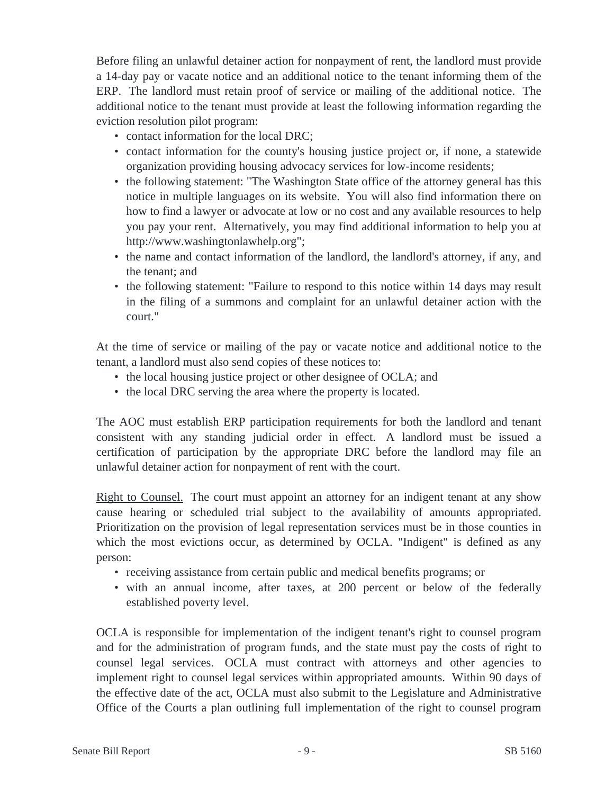Before filing an unlawful detainer action for nonpayment of rent, the landlord must provide a 14-day pay or vacate notice and an additional notice to the tenant informing them of the ERP. The landlord must retain proof of service or mailing of the additional notice. The additional notice to the tenant must provide at least the following information regarding the eviction resolution pilot program:

- contact information for the local DRC;
- contact information for the county's housing justice project or, if none, a statewide organization providing housing advocacy services for low-income residents;
- the following statement: "The Washington State office of the attorney general has this notice in multiple languages on its website. You will also find information there on how to find a lawyer or advocate at low or no cost and any available resources to help you pay your rent. Alternatively, you may find additional information to help you at http://www.washingtonlawhelp.org";
- the name and contact information of the landlord, the landlord's attorney, if any, and the tenant; and
- the following statement: "Failure to respond to this notice within 14 days may result in the filing of a summons and complaint for an unlawful detainer action with the court."

At the time of service or mailing of the pay or vacate notice and additional notice to the tenant, a landlord must also send copies of these notices to:

- the local housing justice project or other designee of OCLA; and
- the local DRC serving the area where the property is located.

The AOC must establish ERP participation requirements for both the landlord and tenant consistent with any standing judicial order in effect. A landlord must be issued a certification of participation by the appropriate DRC before the landlord may file an unlawful detainer action for nonpayment of rent with the court.

Right to Counsel. The court must appoint an attorney for an indigent tenant at any show cause hearing or scheduled trial subject to the availability of amounts appropriated. Prioritization on the provision of legal representation services must be in those counties in which the most evictions occur, as determined by OCLA. "Indigent" is defined as any person:

- receiving assistance from certain public and medical benefits programs; or
- with an annual income, after taxes, at 200 percent or below of the federally established poverty level.

OCLA is responsible for implementation of the indigent tenant's right to counsel program and for the administration of program funds, and the state must pay the costs of right to counsel legal services. OCLA must contract with attorneys and other agencies to implement right to counsel legal services within appropriated amounts. Within 90 days of the effective date of the act, OCLA must also submit to the Legislature and Administrative Office of the Courts a plan outlining full implementation of the right to counsel program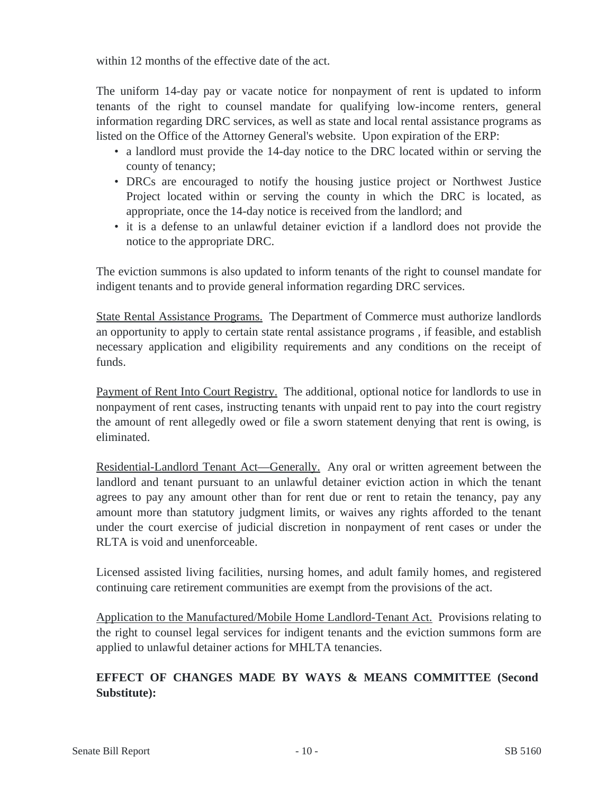within 12 months of the effective date of the act.

The uniform 14-day pay or vacate notice for nonpayment of rent is updated to inform tenants of the right to counsel mandate for qualifying low-income renters, general information regarding DRC services, as well as state and local rental assistance programs as listed on the Office of the Attorney General's website. Upon expiration of the ERP:

- a landlord must provide the 14-day notice to the DRC located within or serving the county of tenancy;
- DRCs are encouraged to notify the housing justice project or Northwest Justice Project located within or serving the county in which the DRC is located, as appropriate, once the 14-day notice is received from the landlord; and
- it is a defense to an unlawful detainer eviction if a landlord does not provide the notice to the appropriate DRC.

The eviction summons is also updated to inform tenants of the right to counsel mandate for indigent tenants and to provide general information regarding DRC services.

State Rental Assistance Programs. The Department of Commerce must authorize landlords an opportunity to apply to certain state rental assistance programs , if feasible, and establish necessary application and eligibility requirements and any conditions on the receipt of funds.

Payment of Rent Into Court Registry. The additional, optional notice for landlords to use in nonpayment of rent cases, instructing tenants with unpaid rent to pay into the court registry the amount of rent allegedly owed or file a sworn statement denying that rent is owing, is eliminated.

Residential-Landlord Tenant Act—Generally. Any oral or written agreement between the landlord and tenant pursuant to an unlawful detainer eviction action in which the tenant agrees to pay any amount other than for rent due or rent to retain the tenancy, pay any amount more than statutory judgment limits, or waives any rights afforded to the tenant under the court exercise of judicial discretion in nonpayment of rent cases or under the RLTA is void and unenforceable.

Licensed assisted living facilities, nursing homes, and adult family homes, and registered continuing care retirement communities are exempt from the provisions of the act.

Application to the Manufactured/Mobile Home Landlord-Tenant Act. Provisions relating to the right to counsel legal services for indigent tenants and the eviction summons form are applied to unlawful detainer actions for MHLTA tenancies.

# **EFFECT OF CHANGES MADE BY WAYS & MEANS COMMITTEE (Second Substitute):**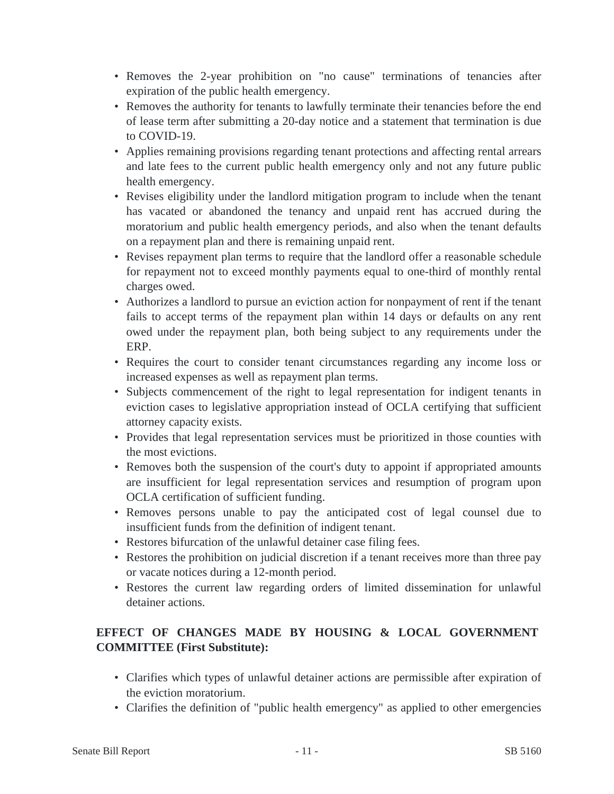- Removes the 2-year prohibition on "no cause" terminations of tenancies after expiration of the public health emergency.
- Removes the authority for tenants to lawfully terminate their tenancies before the end of lease term after submitting a 20-day notice and a statement that termination is due to COVID-19.
- Applies remaining provisions regarding tenant protections and affecting rental arrears and late fees to the current public health emergency only and not any future public health emergency.
- Revises eligibility under the landlord mitigation program to include when the tenant has vacated or abandoned the tenancy and unpaid rent has accrued during the moratorium and public health emergency periods, and also when the tenant defaults on a repayment plan and there is remaining unpaid rent.
- Revises repayment plan terms to require that the landlord offer a reasonable schedule for repayment not to exceed monthly payments equal to one-third of monthly rental charges owed.
- Authorizes a landlord to pursue an eviction action for nonpayment of rent if the tenant fails to accept terms of the repayment plan within 14 days or defaults on any rent owed under the repayment plan, both being subject to any requirements under the ERP.
- Requires the court to consider tenant circumstances regarding any income loss or increased expenses as well as repayment plan terms.
- Subjects commencement of the right to legal representation for indigent tenants in eviction cases to legislative appropriation instead of OCLA certifying that sufficient attorney capacity exists.
- Provides that legal representation services must be prioritized in those counties with the most evictions.
- Removes both the suspension of the court's duty to appoint if appropriated amounts are insufficient for legal representation services and resumption of program upon OCLA certification of sufficient funding.
- Removes persons unable to pay the anticipated cost of legal counsel due to insufficient funds from the definition of indigent tenant.
- Restores bifurcation of the unlawful detainer case filing fees.
- Restores the prohibition on judicial discretion if a tenant receives more than three pay or vacate notices during a 12-month period.
- Restores the current law regarding orders of limited dissemination for unlawful detainer actions.

# **EFFECT OF CHANGES MADE BY HOUSING & LOCAL GOVERNMENT COMMITTEE (First Substitute):**

- Clarifies which types of unlawful detainer actions are permissible after expiration of the eviction moratorium.
- Clarifies the definition of "public health emergency" as applied to other emergencies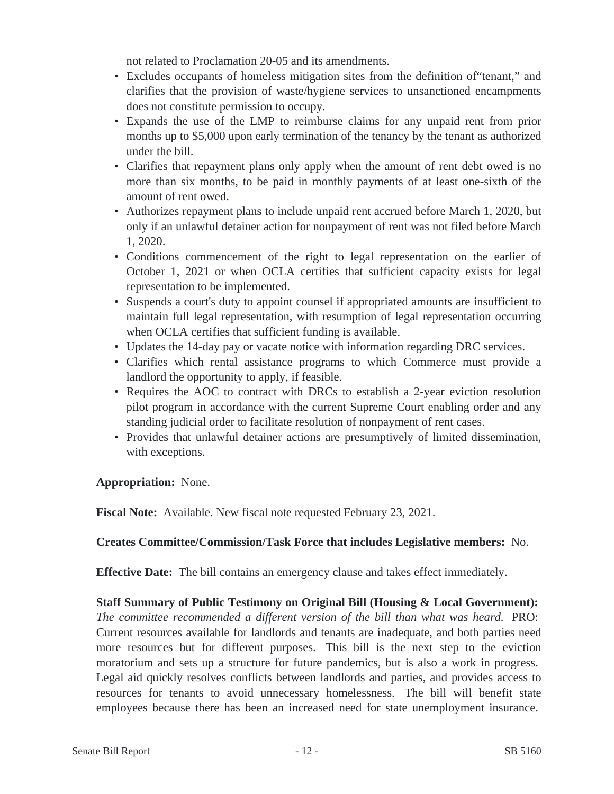not related to Proclamation 20-05 and its amendments.

- Excludes occupants of homeless mitigation sites from the definition of tenant," and clarifies that the provision of waste/hygiene services to unsanctioned encampments does not constitute permission to occupy.
- Expands the use of the LMP to reimburse claims for any unpaid rent from prior months up to \$5,000 upon early termination of the tenancy by the tenant as authorized under the bill.
- Clarifies that repayment plans only apply when the amount of rent debt owed is no more than six months, to be paid in monthly payments of at least one-sixth of the amount of rent owed.
- Authorizes repayment plans to include unpaid rent accrued before March 1, 2020, but only if an unlawful detainer action for nonpayment of rent was not filed before March 1, 2020.
- Conditions commencement of the right to legal representation on the earlier of October 1, 2021 or when OCLA certifies that sufficient capacity exists for legal representation to be implemented.
- Suspends a court's duty to appoint counsel if appropriated amounts are insufficient to maintain full legal representation, with resumption of legal representation occurring when OCLA certifies that sufficient funding is available.
- Updates the 14-day pay or vacate notice with information regarding DRC services.
- Clarifies which rental assistance programs to which Commerce must provide a landlord the opportunity to apply, if feasible.
- Requires the AOC to contract with DRCs to establish a 2-year eviction resolution pilot program in accordance with the current Supreme Court enabling order and any standing judicial order to facilitate resolution of nonpayment of rent cases.
- Provides that unlawful detainer actions are presumptively of limited dissemination, with exceptions.

# **Appropriation:** None.

**Fiscal Note:** Available. New fiscal note requested February 23, 2021.

# **Creates Committee/Commission/Task Force that includes Legislative members:** No.

**Effective Date:** The bill contains an emergency clause and takes effect immediately.

**Staff Summary of Public Testimony on Original Bill (Housing & Local Government):** *The committee recommended a different version of the bill than what was heard.* PRO: Current resources available for landlords and tenants are inadequate, and both parties need more resources but for different purposes. This bill is the next step to the eviction moratorium and sets up a structure for future pandemics, but is also a work in progress. Legal aid quickly resolves conflicts between landlords and parties, and provides access to resources for tenants to avoid unnecessary homelessness. The bill will benefit state employees because there has been an increased need for state unemployment insurance.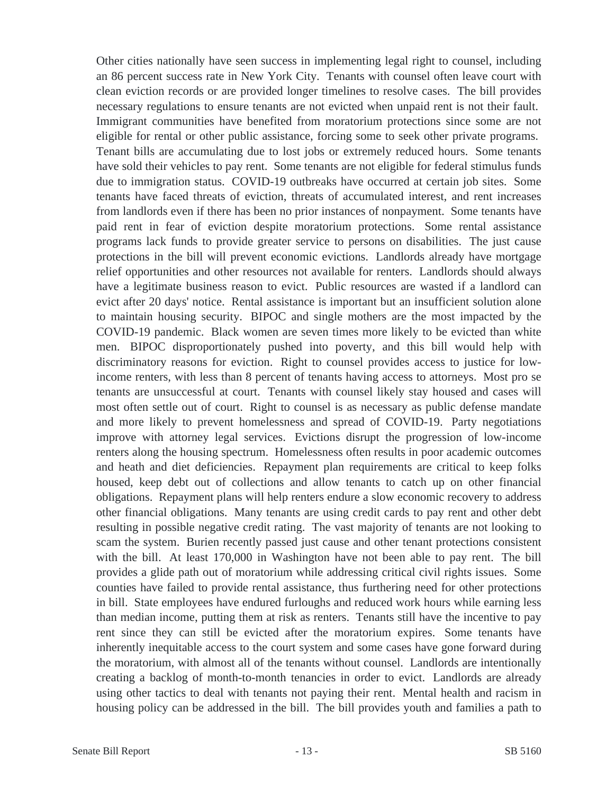Other cities nationally have seen success in implementing legal right to counsel, including an 86 percent success rate in New York City. Tenants with counsel often leave court with clean eviction records or are provided longer timelines to resolve cases. The bill provides necessary regulations to ensure tenants are not evicted when unpaid rent is not their fault. Immigrant communities have benefited from moratorium protections since some are not eligible for rental or other public assistance, forcing some to seek other private programs. Tenant bills are accumulating due to lost jobs or extremely reduced hours. Some tenants have sold their vehicles to pay rent. Some tenants are not eligible for federal stimulus funds due to immigration status. COVID-19 outbreaks have occurred at certain job sites. Some tenants have faced threats of eviction, threats of accumulated interest, and rent increases from landlords even if there has been no prior instances of nonpayment. Some tenants have paid rent in fear of eviction despite moratorium protections. Some rental assistance programs lack funds to provide greater service to persons on disabilities. The just cause protections in the bill will prevent economic evictions. Landlords already have mortgage relief opportunities and other resources not available for renters. Landlords should always have a legitimate business reason to evict. Public resources are wasted if a landlord can evict after 20 days' notice. Rental assistance is important but an insufficient solution alone to maintain housing security. BIPOC and single mothers are the most impacted by the COVID-19 pandemic. Black women are seven times more likely to be evicted than white men. BIPOC disproportionately pushed into poverty, and this bill would help with discriminatory reasons for eviction. Right to counsel provides access to justice for lowincome renters, with less than 8 percent of tenants having access to attorneys. Most pro se tenants are unsuccessful at court. Tenants with counsel likely stay housed and cases will most often settle out of court. Right to counsel is as necessary as public defense mandate and more likely to prevent homelessness and spread of COVID-19. Party negotiations improve with attorney legal services. Evictions disrupt the progression of low-income renters along the housing spectrum. Homelessness often results in poor academic outcomes and heath and diet deficiencies. Repayment plan requirements are critical to keep folks housed, keep debt out of collections and allow tenants to catch up on other financial obligations. Repayment plans will help renters endure a slow economic recovery to address other financial obligations. Many tenants are using credit cards to pay rent and other debt resulting in possible negative credit rating. The vast majority of tenants are not looking to scam the system. Burien recently passed just cause and other tenant protections consistent with the bill. At least 170,000 in Washington have not been able to pay rent. The bill provides a glide path out of moratorium while addressing critical civil rights issues. Some counties have failed to provide rental assistance, thus furthering need for other protections in bill. State employees have endured furloughs and reduced work hours while earning less than median income, putting them at risk as renters. Tenants still have the incentive to pay rent since they can still be evicted after the moratorium expires. Some tenants have inherently inequitable access to the court system and some cases have gone forward during the moratorium, with almost all of the tenants without counsel. Landlords are intentionally creating a backlog of month-to-month tenancies in order to evict. Landlords are already using other tactics to deal with tenants not paying their rent. Mental health and racism in housing policy can be addressed in the bill. The bill provides youth and families a path to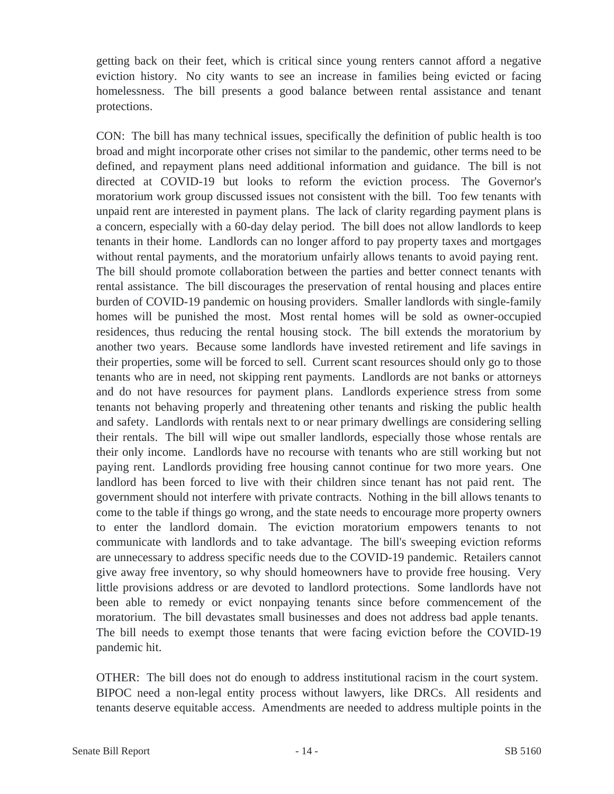getting back on their feet, which is critical since young renters cannot afford a negative eviction history. No city wants to see an increase in families being evicted or facing homelessness. The bill presents a good balance between rental assistance and tenant protections.

CON: The bill has many technical issues, specifically the definition of public health is too broad and might incorporate other crises not similar to the pandemic, other terms need to be defined, and repayment plans need additional information and guidance. The bill is not directed at COVID-19 but looks to reform the eviction process. The Governor's moratorium work group discussed issues not consistent with the bill. Too few tenants with unpaid rent are interested in payment plans. The lack of clarity regarding payment plans is a concern, especially with a 60-day delay period. The bill does not allow landlords to keep tenants in their home. Landlords can no longer afford to pay property taxes and mortgages without rental payments, and the moratorium unfairly allows tenants to avoid paying rent. The bill should promote collaboration between the parties and better connect tenants with rental assistance. The bill discourages the preservation of rental housing and places entire burden of COVID-19 pandemic on housing providers. Smaller landlords with single-family homes will be punished the most. Most rental homes will be sold as owner-occupied residences, thus reducing the rental housing stock. The bill extends the moratorium by another two years. Because some landlords have invested retirement and life savings in their properties, some will be forced to sell. Current scant resources should only go to those tenants who are in need, not skipping rent payments. Landlords are not banks or attorneys and do not have resources for payment plans. Landlords experience stress from some tenants not behaving properly and threatening other tenants and risking the public health and safety. Landlords with rentals next to or near primary dwellings are considering selling their rentals. The bill will wipe out smaller landlords, especially those whose rentals are their only income. Landlords have no recourse with tenants who are still working but not paying rent. Landlords providing free housing cannot continue for two more years. One landlord has been forced to live with their children since tenant has not paid rent. The government should not interfere with private contracts. Nothing in the bill allows tenants to come to the table if things go wrong, and the state needs to encourage more property owners to enter the landlord domain. The eviction moratorium empowers tenants to not communicate with landlords and to take advantage. The bill's sweeping eviction reforms are unnecessary to address specific needs due to the COVID-19 pandemic. Retailers cannot give away free inventory, so why should homeowners have to provide free housing. Very little provisions address or are devoted to landlord protections. Some landlords have not been able to remedy or evict nonpaying tenants since before commencement of the moratorium. The bill devastates small businesses and does not address bad apple tenants. The bill needs to exempt those tenants that were facing eviction before the COVID-19 pandemic hit.

OTHER: The bill does not do enough to address institutional racism in the court system. BIPOC need a non-legal entity process without lawyers, like DRCs. All residents and tenants deserve equitable access. Amendments are needed to address multiple points in the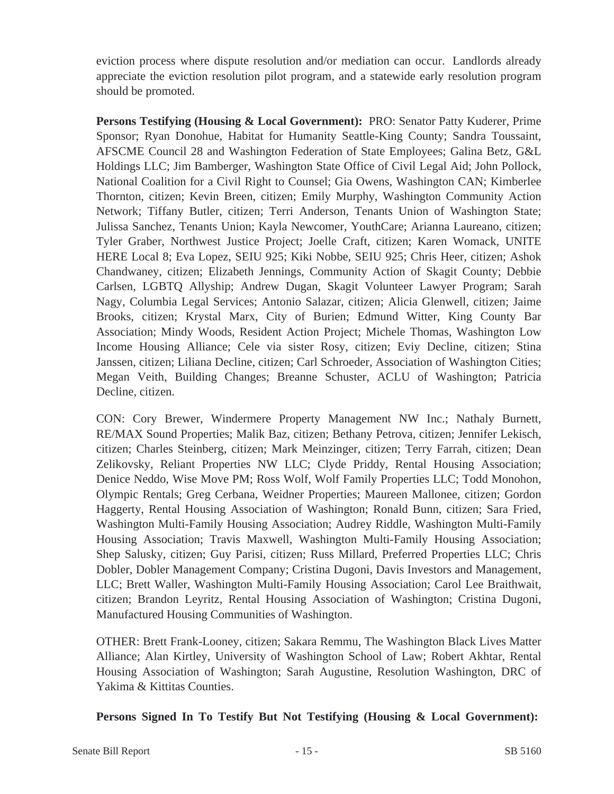eviction process where dispute resolution and/or mediation can occur. Landlords already appreciate the eviction resolution pilot program, and a statewide early resolution program should be promoted.

**Persons Testifying (Housing & Local Government):** PRO: Senator Patty Kuderer, Prime Sponsor; Ryan Donohue, Habitat for Humanity Seattle-King County; Sandra Toussaint, AFSCME Council 28 and Washington Federation of State Employees; Galina Betz, G&L Holdings LLC; Jim Bamberger, Washington State Office of Civil Legal Aid; John Pollock, National Coalition for a Civil Right to Counsel; Gia Owens, Washington CAN; Kimberlee Thornton, citizen; Kevin Breen, citizen; Emily Murphy, Washington Community Action Network; Tiffany Butler, citizen; Terri Anderson, Tenants Union of Washington State; Julissa Sanchez, Tenants Union; Kayla Newcomer, YouthCare; Arianna Laureano, citizen; Tyler Graber, Northwest Justice Project; Joelle Craft, citizen; Karen Womack, UNITE HERE Local 8; Eva Lopez, SEIU 925; Kiki Nobbe, SEIU 925; Chris Heer, citizen; Ashok Chandwaney, citizen; Elizabeth Jennings, Community Action of Skagit County; Debbie Carlsen, LGBTQ Allyship; Andrew Dugan, Skagit Volunteer Lawyer Program; Sarah Nagy, Columbia Legal Services; Antonio Salazar, citizen; Alicia Glenwell, citizen; Jaime Brooks, citizen; Krystal Marx, City of Burien; Edmund Witter, King County Bar Association; Mindy Woods, Resident Action Project; Michele Thomas, Washington Low Income Housing Alliance; Cele via sister Rosy, citizen; Eviy Decline, citizen; Stina Janssen, citizen; Liliana Decline, citizen; Carl Schroeder, Association of Washington Cities; Megan Veith, Building Changes; Breanne Schuster, ACLU of Washington; Patricia Decline, citizen.

CON: Cory Brewer, Windermere Property Management NW Inc.; Nathaly Burnett, RE/MAX Sound Properties; Malik Baz, citizen; Bethany Petrova, citizen; Jennifer Lekisch, citizen; Charles Steinberg, citizen; Mark Meinzinger, citizen; Terry Farrah, citizen; Dean Zelikovsky, Reliant Properties NW LLC; Clyde Priddy, Rental Housing Association; Denice Neddo, Wise Move PM; Ross Wolf, Wolf Family Properties LLC; Todd Monohon, Olympic Rentals; Greg Cerbana, Weidner Properties; Maureen Mallonee, citizen; Gordon Haggerty, Rental Housing Association of Washington; Ronald Bunn, citizen; Sara Fried, Washington Multi-Family Housing Association; Audrey Riddle, Washington Multi-Family Housing Association; Travis Maxwell, Washington Multi-Family Housing Association; Shep Salusky, citizen; Guy Parisi, citizen; Russ Millard, Preferred Properties LLC; Chris Dobler, Dobler Management Company; Cristina Dugoni, Davis Investors and Management, LLC; Brett Waller, Washington Multi-Family Housing Association; Carol Lee Braithwait, citizen; Brandon Leyritz, Rental Housing Association of Washington; Cristina Dugoni, Manufactured Housing Communities of Washington.

OTHER: Brett Frank-Looney, citizen; Sakara Remmu, The Washington Black Lives Matter Alliance; Alan Kirtley, University of Washington School of Law; Robert Akhtar, Rental Housing Association of Washington; Sarah Augustine, Resolution Washington, DRC of Yakima & Kittitas Counties.

# **Persons Signed In To Testify But Not Testifying (Housing & Local Government):**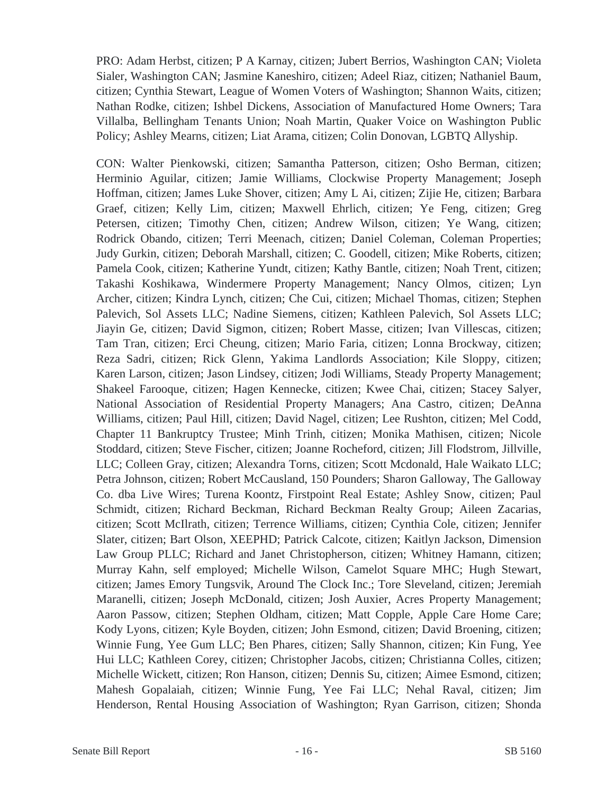PRO: Adam Herbst, citizen; P A Karnay, citizen; Jubert Berrios, Washington CAN; Violeta Sialer, Washington CAN; Jasmine Kaneshiro, citizen; Adeel Riaz, citizen; Nathaniel Baum, citizen; Cynthia Stewart, League of Women Voters of Washington; Shannon Waits, citizen; Nathan Rodke, citizen; Ishbel Dickens, Association of Manufactured Home Owners; Tara Villalba, Bellingham Tenants Union; Noah Martin, Quaker Voice on Washington Public Policy; Ashley Mearns, citizen; Liat Arama, citizen; Colin Donovan, LGBTQ Allyship.

CON: Walter Pienkowski, citizen; Samantha Patterson, citizen; Osho Berman, citizen; Herminio Aguilar, citizen; Jamie Williams, Clockwise Property Management; Joseph Hoffman, citizen; James Luke Shover, citizen; Amy L Ai, citizen; Zijie He, citizen; Barbara Graef, citizen; Kelly Lim, citizen; Maxwell Ehrlich, citizen; Ye Feng, citizen; Greg Petersen, citizen; Timothy Chen, citizen; Andrew Wilson, citizen; Ye Wang, citizen; Rodrick Obando, citizen; Terri Meenach, citizen; Daniel Coleman, Coleman Properties; Judy Gurkin, citizen; Deborah Marshall, citizen; C. Goodell, citizen; Mike Roberts, citizen; Pamela Cook, citizen; Katherine Yundt, citizen; Kathy Bantle, citizen; Noah Trent, citizen; Takashi Koshikawa, Windermere Property Management; Nancy Olmos, citizen; Lyn Archer, citizen; Kindra Lynch, citizen; Che Cui, citizen; Michael Thomas, citizen; Stephen Palevich, Sol Assets LLC; Nadine Siemens, citizen; Kathleen Palevich, Sol Assets LLC; Jiayin Ge, citizen; David Sigmon, citizen; Robert Masse, citizen; Ivan Villescas, citizen; Tam Tran, citizen; Erci Cheung, citizen; Mario Faria, citizen; Lonna Brockway, citizen; Reza Sadri, citizen; Rick Glenn, Yakima Landlords Association; Kile Sloppy, citizen; Karen Larson, citizen; Jason Lindsey, citizen; Jodi Williams, Steady Property Management; Shakeel Farooque, citizen; Hagen Kennecke, citizen; Kwee Chai, citizen; Stacey Salyer, National Association of Residential Property Managers; Ana Castro, citizen; DeAnna Williams, citizen; Paul Hill, citizen; David Nagel, citizen; Lee Rushton, citizen; Mel Codd, Chapter 11 Bankruptcy Trustee; Minh Trinh, citizen; Monika Mathisen, citizen; Nicole Stoddard, citizen; Steve Fischer, citizen; Joanne Rocheford, citizen; Jill Flodstrom, Jillville, LLC; Colleen Gray, citizen; Alexandra Torns, citizen; Scott Mcdonald, Hale Waikato LLC; Petra Johnson, citizen; Robert McCausland, 150 Pounders; Sharon Galloway, The Galloway Co. dba Live Wires; Turena Koontz, Firstpoint Real Estate; Ashley Snow, citizen; Paul Schmidt, citizen; Richard Beckman, Richard Beckman Realty Group; Aileen Zacarias, citizen; Scott McIlrath, citizen; Terrence Williams, citizen; Cynthia Cole, citizen; Jennifer Slater, citizen; Bart Olson, XEEPHD; Patrick Calcote, citizen; Kaitlyn Jackson, Dimension Law Group PLLC; Richard and Janet Christopherson, citizen; Whitney Hamann, citizen; Murray Kahn, self employed; Michelle Wilson, Camelot Square MHC; Hugh Stewart, citizen; James Emory Tungsvik, Around The Clock Inc.; Tore Sleveland, citizen; Jeremiah Maranelli, citizen; Joseph McDonald, citizen; Josh Auxier, Acres Property Management; Aaron Passow, citizen; Stephen Oldham, citizen; Matt Copple, Apple Care Home Care; Kody Lyons, citizen; Kyle Boyden, citizen; John Esmond, citizen; David Broening, citizen; Winnie Fung, Yee Gum LLC; Ben Phares, citizen; Sally Shannon, citizen; Kin Fung, Yee Hui LLC; Kathleen Corey, citizen; Christopher Jacobs, citizen; Christianna Colles, citizen; Michelle Wickett, citizen; Ron Hanson, citizen; Dennis Su, citizen; Aimee Esmond, citizen; Mahesh Gopalaiah, citizen; Winnie Fung, Yee Fai LLC; Nehal Raval, citizen; Jim Henderson, Rental Housing Association of Washington; Ryan Garrison, citizen; Shonda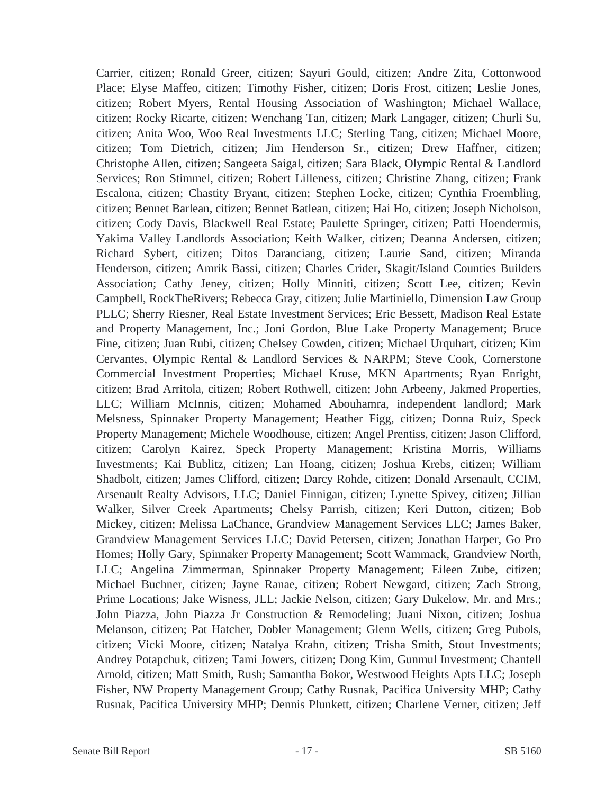Carrier, citizen; Ronald Greer, citizen; Sayuri Gould, citizen; Andre Zita, Cottonwood Place; Elyse Maffeo, citizen; Timothy Fisher, citizen; Doris Frost, citizen; Leslie Jones, citizen; Robert Myers, Rental Housing Association of Washington; Michael Wallace, citizen; Rocky Ricarte, citizen; Wenchang Tan, citizen; Mark Langager, citizen; Churli Su, citizen; Anita Woo, Woo Real Investments LLC; Sterling Tang, citizen; Michael Moore, citizen; Tom Dietrich, citizen; Jim Henderson Sr., citizen; Drew Haffner, citizen; Christophe Allen, citizen; Sangeeta Saigal, citizen; Sara Black, Olympic Rental & Landlord Services; Ron Stimmel, citizen; Robert Lilleness, citizen; Christine Zhang, citizen; Frank Escalona, citizen; Chastity Bryant, citizen; Stephen Locke, citizen; Cynthia Froembling, citizen; Bennet Barlean, citizen; Bennet Batlean, citizen; Hai Ho, citizen; Joseph Nicholson, citizen; Cody Davis, Blackwell Real Estate; Paulette Springer, citizen; Patti Hoendermis, Yakima Valley Landlords Association; Keith Walker, citizen; Deanna Andersen, citizen; Richard Sybert, citizen; Ditos Daranciang, citizen; Laurie Sand, citizen; Miranda Henderson, citizen; Amrik Bassi, citizen; Charles Crider, Skagit/Island Counties Builders Association; Cathy Jeney, citizen; Holly Minniti, citizen; Scott Lee, citizen; Kevin Campbell, RockTheRivers; Rebecca Gray, citizen; Julie Martiniello, Dimension Law Group PLLC; Sherry Riesner, Real Estate Investment Services; Eric Bessett, Madison Real Estate and Property Management, Inc.; Joni Gordon, Blue Lake Property Management; Bruce Fine, citizen; Juan Rubi, citizen; Chelsey Cowden, citizen; Michael Urquhart, citizen; Kim Cervantes, Olympic Rental & Landlord Services & NARPM; Steve Cook, Cornerstone Commercial Investment Properties; Michael Kruse, MKN Apartments; Ryan Enright, citizen; Brad Arritola, citizen; Robert Rothwell, citizen; John Arbeeny, Jakmed Properties, LLC; William McInnis, citizen; Mohamed Abouhamra, independent landlord; Mark Melsness, Spinnaker Property Management; Heather Figg, citizen; Donna Ruiz, Speck Property Management; Michele Woodhouse, citizen; Angel Prentiss, citizen; Jason Clifford, citizen; Carolyn Kairez, Speck Property Management; Kristina Morris, Williams Investments; Kai Bublitz, citizen; Lan Hoang, citizen; Joshua Krebs, citizen; William Shadbolt, citizen; James Clifford, citizen; Darcy Rohde, citizen; Donald Arsenault, CCIM, Arsenault Realty Advisors, LLC; Daniel Finnigan, citizen; Lynette Spivey, citizen; Jillian Walker, Silver Creek Apartments; Chelsy Parrish, citizen; Keri Dutton, citizen; Bob Mickey, citizen; Melissa LaChance, Grandview Management Services LLC; James Baker, Grandview Management Services LLC; David Petersen, citizen; Jonathan Harper, Go Pro Homes; Holly Gary, Spinnaker Property Management; Scott Wammack, Grandview North, LLC; Angelina Zimmerman, Spinnaker Property Management; Eileen Zube, citizen; Michael Buchner, citizen; Jayne Ranae, citizen; Robert Newgard, citizen; Zach Strong, Prime Locations; Jake Wisness, JLL; Jackie Nelson, citizen; Gary Dukelow, Mr. and Mrs.; John Piazza, John Piazza Jr Construction & Remodeling; Juani Nixon, citizen; Joshua Melanson, citizen; Pat Hatcher, Dobler Management; Glenn Wells, citizen; Greg Pubols, citizen; Vicki Moore, citizen; Natalya Krahn, citizen; Trisha Smith, Stout Investments; Andrey Potapchuk, citizen; Tami Jowers, citizen; Dong Kim, Gunmul Investment; Chantell Arnold, citizen; Matt Smith, Rush; Samantha Bokor, Westwood Heights Apts LLC; Joseph Fisher, NW Property Management Group; Cathy Rusnak, Pacifica University MHP; Cathy Rusnak, Pacifica University MHP; Dennis Plunkett, citizen; Charlene Verner, citizen; Jeff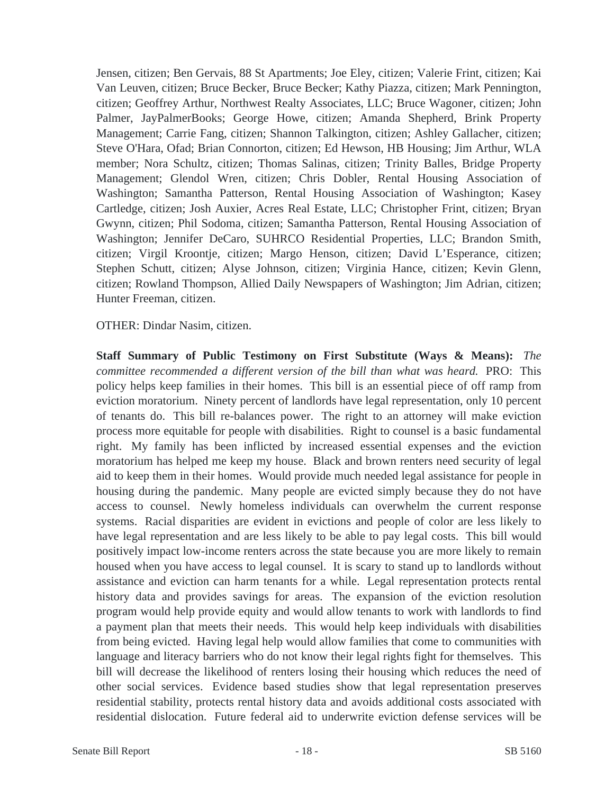Jensen, citizen; Ben Gervais, 88 St Apartments; Joe Eley, citizen; Valerie Frint, citizen; Kai Van Leuven, citizen; Bruce Becker, Bruce Becker; Kathy Piazza, citizen; Mark Pennington, citizen; Geoffrey Arthur, Northwest Realty Associates, LLC; Bruce Wagoner, citizen; John Palmer, JayPalmerBooks; George Howe, citizen; Amanda Shepherd, Brink Property Management; Carrie Fang, citizen; Shannon Talkington, citizen; Ashley Gallacher, citizen; Steve O'Hara, Ofad; Brian Connorton, citizen; Ed Hewson, HB Housing; Jim Arthur, WLA member; Nora Schultz, citizen; Thomas Salinas, citizen; Trinity Balles, Bridge Property Management; Glendol Wren, citizen; Chris Dobler, Rental Housing Association of Washington; Samantha Patterson, Rental Housing Association of Washington; Kasey Cartledge, citizen; Josh Auxier, Acres Real Estate, LLC; Christopher Frint, citizen; Bryan Gwynn, citizen; Phil Sodoma, citizen; Samantha Patterson, Rental Housing Association of Washington; Jennifer DeCaro, SUHRCO Residential Properties, LLC; Brandon Smith, citizen; Virgil Kroontje, citizen; Margo Henson, citizen; David L'Esperance, citizen; Stephen Schutt, citizen; Alyse Johnson, citizen; Virginia Hance, citizen; Kevin Glenn, citizen; Rowland Thompson, Allied Daily Newspapers of Washington; Jim Adrian, citizen; Hunter Freeman, citizen.

OTHER: Dindar Nasim, citizen.

**Staff Summary of Public Testimony on First Substitute (Ways & Means):** *The committee recommended a different version of the bill than what was heard.* PRO: This policy helps keep families in their homes. This bill is an essential piece of off ramp from eviction moratorium. Ninety percent of landlords have legal representation, only 10 percent of tenants do. This bill re-balances power. The right to an attorney will make eviction process more equitable for people with disabilities. Right to counsel is a basic fundamental right. My family has been inflicted by increased essential expenses and the eviction moratorium has helped me keep my house. Black and brown renters need security of legal aid to keep them in their homes. Would provide much needed legal assistance for people in housing during the pandemic. Many people are evicted simply because they do not have access to counsel. Newly homeless individuals can overwhelm the current response systems. Racial disparities are evident in evictions and people of color are less likely to have legal representation and are less likely to be able to pay legal costs. This bill would positively impact low-income renters across the state because you are more likely to remain housed when you have access to legal counsel. It is scary to stand up to landlords without assistance and eviction can harm tenants for a while. Legal representation protects rental history data and provides savings for areas. The expansion of the eviction resolution program would help provide equity and would allow tenants to work with landlords to find a payment plan that meets their needs. This would help keep individuals with disabilities from being evicted. Having legal help would allow families that come to communities with language and literacy barriers who do not know their legal rights fight for themselves. This bill will decrease the likelihood of renters losing their housing which reduces the need of other social services. Evidence based studies show that legal representation preserves residential stability, protects rental history data and avoids additional costs associated with residential dislocation. Future federal aid to underwrite eviction defense services will be